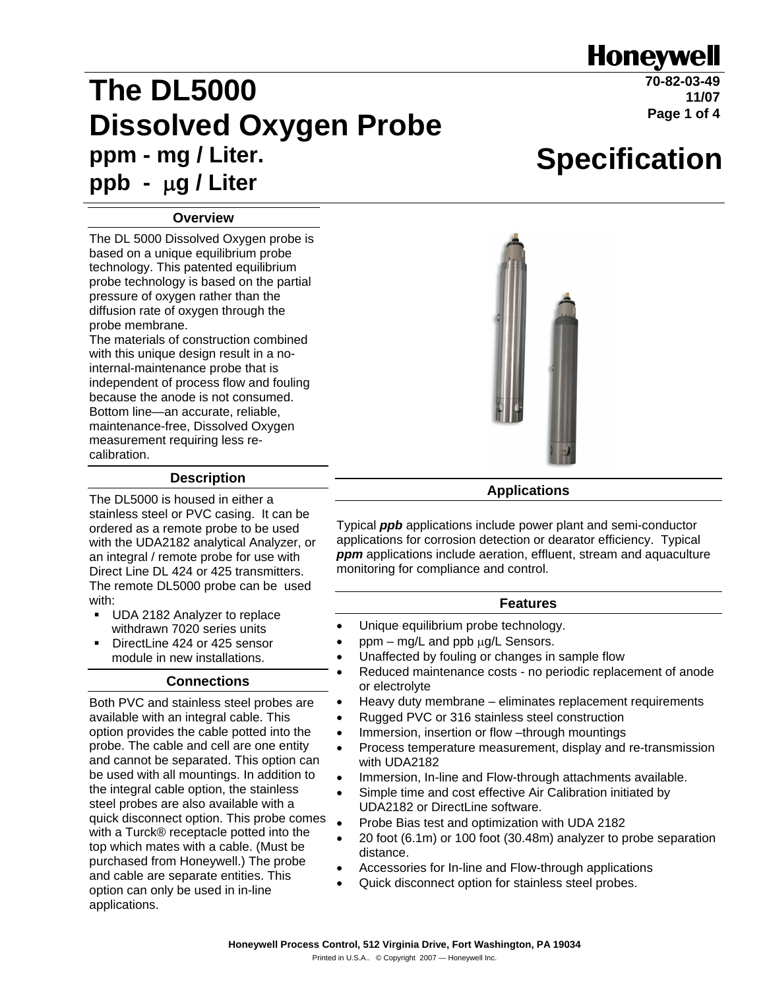## **Honeywell**

**Specification**

# **The DL5000 Dissolved Oxygen Probe ppm - mg / Liter. ppb -** <sup>μ</sup>**g / Liter**

**70-82-03-49 11/07 Page 1 of 4**

#### **Overview**

The DL 5000 Dissolved Oxygen probe is based on a unique equilibrium probe technology. This patented equilibrium probe technology is based on the partial pressure of oxygen rather than the diffusion rate of oxygen through the probe membrane.

The materials of construction combined with this unique design result in a nointernal-maintenance probe that is independent of process flow and fouling because the anode is not consumed. Bottom line—an accurate, reliable, maintenance-free, Dissolved Oxygen measurement requiring less recalibration.

#### **Description**

The DL5000 is housed in either a stainless steel or PVC casing. It can be ordered as a remote probe to be used with the UDA2182 analytical Analyzer, or an integral / remote probe for use with Direct Line DL 424 or 425 transmitters. The remote DL5000 probe can be used with:

- UDA 2182 Analyzer to replace withdrawn 7020 series units
- DirectLine 424 or 425 sensor module in new installations.

#### **Connections**

Both PVC and stainless steel probes are available with an integral cable. This option provides the cable potted into the probe. The cable and cell are one entity and cannot be separated. This option can be used with all mountings. In addition to the integral cable option, the stainless steel probes are also available with a quick disconnect option. This probe comes with a Turck® receptacle potted into the top which mates with a cable. (Must be purchased from Honeywell.) The probe and cable are separate entities. This option can only be used in in-line applications.



#### **Applications**

Typical *ppb* applications include power plant and semi-conductor applications for corrosion detection or dearator efficiency. Typical **ppm** applications include aeration, effluent, stream and aquaculture monitoring for compliance and control.

#### **Features**

- Unique equilibrium probe technology.
- ppm mg/L and ppb μg/L Sensors.
- Unaffected by fouling or changes in sample flow
- Reduced maintenance costs no periodic replacement of anode or electrolyte
- Heavy duty membrane eliminates replacement requirements
	- Rugged PVC or 316 stainless steel construction
- Immersion, insertion or flow –through mountings
- Process temperature measurement, display and re-transmission with UDA2182
- Immersion, In-line and Flow-through attachments available.
- Simple time and cost effective Air Calibration initiated by UDA2182 or DirectLine software.
- Probe Bias test and optimization with UDA 2182
- 20 foot (6.1m) or 100 foot (30.48m) analyzer to probe separation distance.
- Accessories for In-line and Flow-through applications
- Quick disconnect option for stainless steel probes.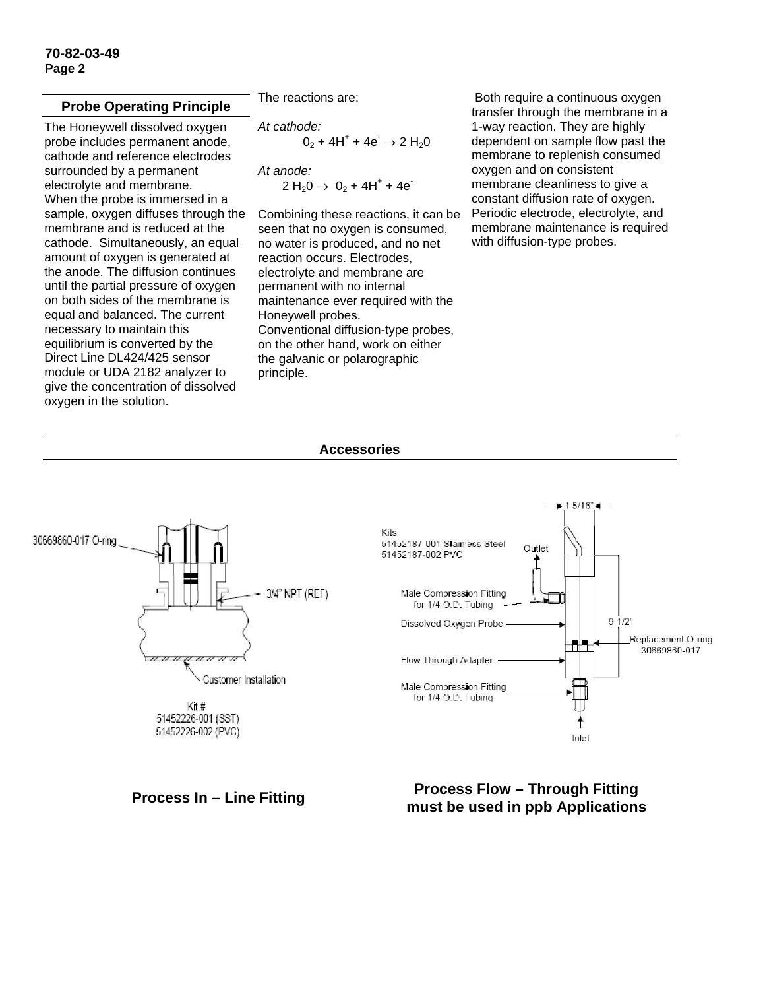#### **Probe Operating Principle**

The Honeywell dissolved oxygen probe includes permanent anode, cathode and reference electrodes surrounded by a permanent electrolyte and membrane. When the probe is immersed in a sample, oxygen diffuses through the membrane and is reduced at the cathode. Simultaneously, an equal amount of oxygen is generated at the anode. The diffusion continues until the partial pressure of oxygen on both sides of the membrane is equal and balanced. The current necessary to maintain this equilibrium is converted by the Direct Line DL424/425 sensor module or UDA 2182 analyzer to give the concentration of dissolved oxygen in the solution.

The reactions are:

*At cathode:*   $0_2$  + 4H<sup>+</sup> + 4e<sup>-</sup>  $\rightarrow$  2 H<sub>2</sub>0

*At anode:*   $2 H_2 0 \rightarrow 0_2 + 4 H^+ + 4 e^-$ 

Combining these reactions, it can be seen that no oxygen is consumed, no water is produced, and no net reaction occurs. Electrodes, electrolyte and membrane are permanent with no internal maintenance ever required with the Honeywell probes. Conventional diffusion-type probes, on the other hand, work on either the galvanic or polarographic principle.

 Both require a continuous oxygen transfer through the membrane in a 1-way reaction. They are highly dependent on sample flow past the membrane to replenish consumed oxygen and on consistent membrane cleanliness to give a constant diffusion rate of oxygen. Periodic electrode, electrolyte, and membrane maintenance is required with diffusion-type probes.

#### **Accessories**



**Process In – Line Fitting Process Flow – Through Fitting must be used in ppb Applications**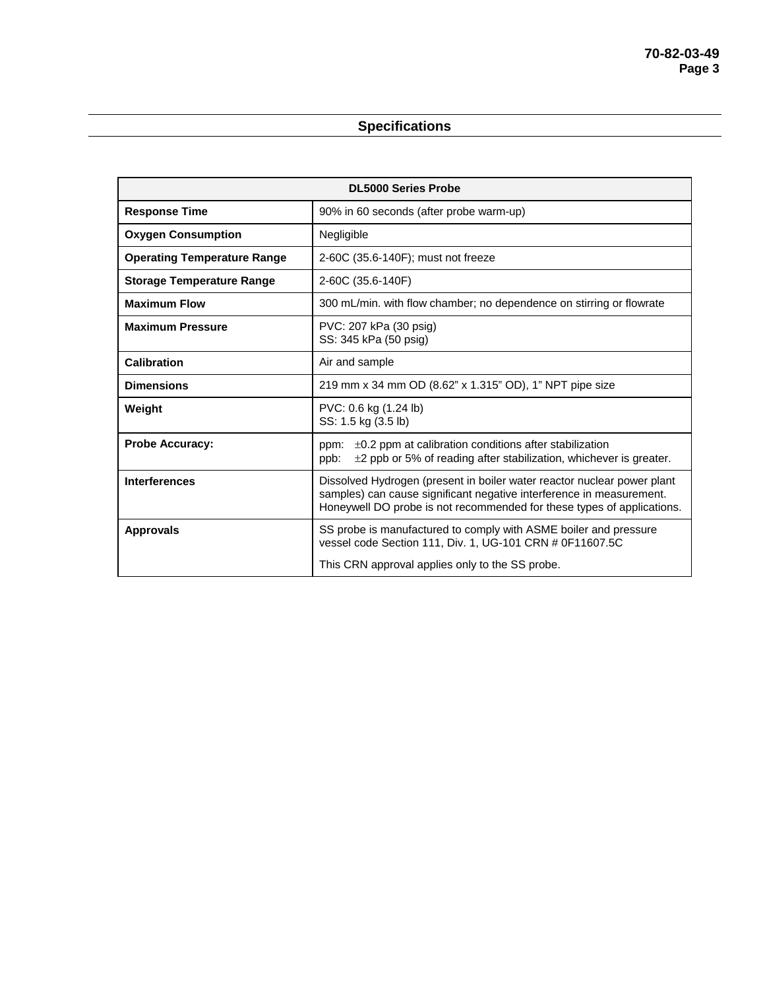### **Specifications**

| <b>DL5000 Series Probe</b>         |                                                                                                                                                                                                                           |
|------------------------------------|---------------------------------------------------------------------------------------------------------------------------------------------------------------------------------------------------------------------------|
| <b>Response Time</b>               | 90% in 60 seconds (after probe warm-up)                                                                                                                                                                                   |
| <b>Oxygen Consumption</b>          | Negligible                                                                                                                                                                                                                |
| <b>Operating Temperature Range</b> | 2-60C (35.6-140F); must not freeze                                                                                                                                                                                        |
| <b>Storage Temperature Range</b>   | 2-60C (35.6-140F)                                                                                                                                                                                                         |
| <b>Maximum Flow</b>                | 300 mL/min. with flow chamber; no dependence on stirring or flowrate                                                                                                                                                      |
| <b>Maximum Pressure</b>            | PVC: 207 kPa (30 psig)<br>SS: 345 kPa (50 psig)                                                                                                                                                                           |
| Calibration                        | Air and sample                                                                                                                                                                                                            |
| <b>Dimensions</b>                  | 219 mm x 34 mm OD (8.62" x 1.315" OD), 1" NPT pipe size                                                                                                                                                                   |
| Weight                             | PVC: 0.6 kg (1.24 lb)<br>SS: 1.5 kg (3.5 lb)                                                                                                                                                                              |
| <b>Probe Accuracy:</b>             | $\pm 0.2$ ppm at calibration conditions after stabilization<br>ppm:<br>$\pm$ 2 ppb or 5% of reading after stabilization, whichever is greater.<br>ppb:                                                                    |
| <b>Interferences</b>               | Dissolved Hydrogen (present in boiler water reactor nuclear power plant<br>samples) can cause significant negative interference in measurement.<br>Honeywell DO probe is not recommended for these types of applications. |
| <b>Approvals</b>                   | SS probe is manufactured to comply with ASME boiler and pressure<br>vessel code Section 111, Div. 1, UG-101 CRN # 0F11607.5C<br>This CRN approval applies only to the SS probe.                                           |